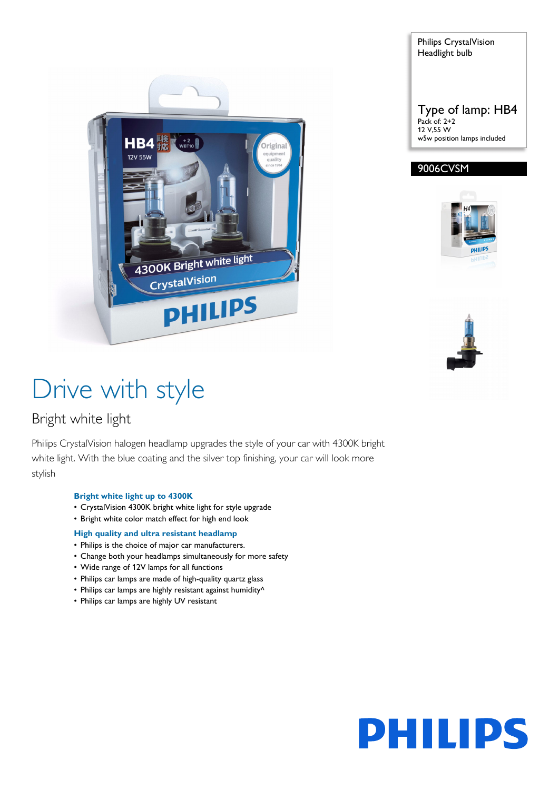



#### 9006CVSM





# Drive with style

### Bright white light

Philips CrystalVision halogen headlamp upgrades the style of your car with 4300K bright white light. With the blue coating and the silver top finishing, your car will look more stylish

#### **Bright white light up to 4300K**

- CrystalVision 4300K bright white light for style upgrade
- Bright white color match effect for high end look

#### **High quality and ultra resistant headlamp**

- Philips is the choice of major car manufacturers.
- Change both your headlamps simultaneously for more safety
- Wide range of 12V lamps for all functions
- Philips car lamps are made of high-quality quartz glass
- Philips car lamps are highly resistant against humidity^
- Philips car lamps are highly UV resistant